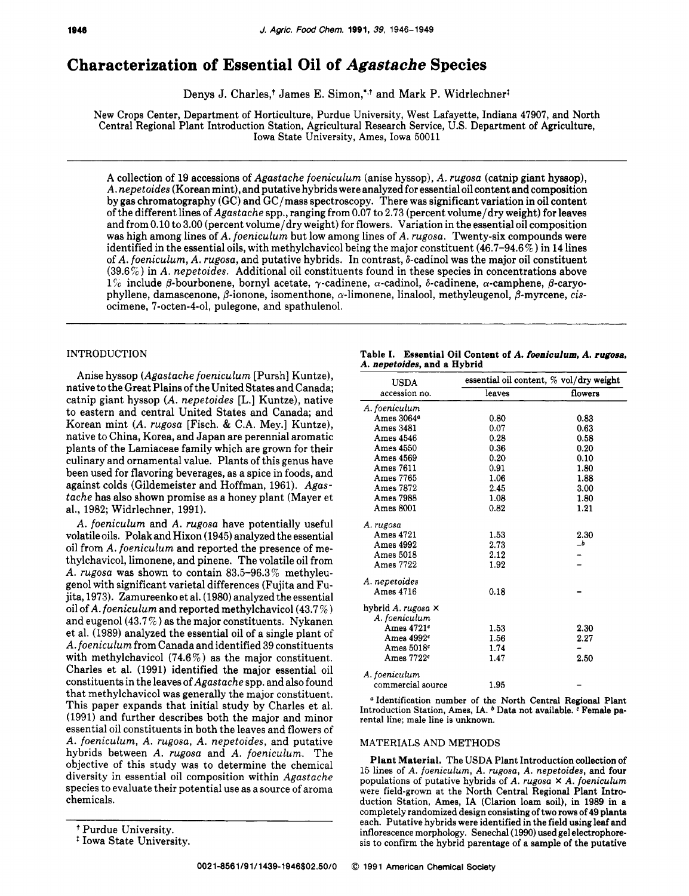# **Characterization of Essential Oil of** *Agastache* **Species**

Denys J. Charles,<sup>†</sup> James E. Simon,<sup>\*,†</sup> and Mark P. Widrlechner<sup>t</sup>

New Crops Center, Department of Horticulture, Purdue University, West Lafayette, Indiana 47907, and North Central Regional Plant Introduction Station, Agricultural Research Service, US. Department of Agriculture, Iowa State University, Ames, Iowa 50011

A collection of 19 accessions of *Agastache foeniculum* (anise hyssop), *A. rugosa* (catnip giant hyssop), *A. nepetoides* (Korean mint), and putative hybrids were analyzed for essential oil content and composition by gas chromatography (GC) and GC/mass spectroscopy. There was significant variation in oil content of the different lines of *Agastache* spp., ranging from 0.07 to 2.73 (percent volume/dry weight) for leaves and from 0.10 to 3.00 (percent volume/dry weight) for flowers. Variation in the essential oil composition was high among lines of *A. foeniculum* but low among lines of *A. rugosa.* Twenty-six compounds were identified in the essential oils, with methylchavicol being the major constituent  $(46.7-94.6\%)$  in 14 lines of *A. foeniculum, A. rugosa,* and putative hybrids. In contrast, 8-cadinol was the major oil constituent (39.6 % ) in *A. nepetoides.* Additional oil constituents found in these species in concentrations above  $1\%$  include  $\beta$ -bourbonene, bornyl acetate,  $\gamma$ -cadinene,  $\alpha$ -cadinol,  $\delta$ -cadinene,  $\alpha$ -camphene,  $\beta$ -caryophyllene, damascenone, P-ionone, isomenthone, a-limonene, linalool, methyleugenol, 0-myrcene, *cis*ocimene, 7-octen-4-01, pulegone, and spathulenol.

# INTRODUCTION

Anise hyssop *(Agastache foeniculum* [Pursh] Kuntze), native to the Great Plains of the United States and Canada; catnip giant hyssop *(A. nepetoides* [L.] Kuntze), native to eastern and central United States and Canada; and Korean mint *(A. rugosa* [Fisch. & C.A. Mey.] Kuntze), native to China, Korea, and Japan are perennial aromatic plants of the Lamiaceae family which are grown for their culinary and ornamental value. Plants of this genus have been used for flavoring beverages, as a spice in foods, and against colds (Gildemeister and Hoffman, 1961). *Agastache* has also shown promise as a honey plant (Mayer et al., 1982; Widrlechner, 1991).

*A. foeniculum* and *A. rugosa* have potentially useful volatile oils. Polak and Hixon (1945) analyzed the essential oil from *A. foeniculum* and reported the presence of methylchavicol, limonene, and pinene. The volatile oil from *A. rugosa* was shown to contain 83.5-96.3% methyleugenol with significant varietal differences (Fujita and Fujita, 1973). Zamureenko et al. (1980) analyzed the essential oil of *A. foeniculum* and reported methylchavicol(43.7% and eugenol  $(43.7\%)$  as the major constituents. Nykanen et al. (1989) analyzed the essential oil of a single plant of *A. foeniculum* from Canada and identified 39 constituents with methylchavicol  $(74.6\%)$  as the major constituent. Charles et al. (1991) identified the major essential oil constituents in the leaves of *Agastache* spp. and also found that methylchavicol was generally the major constituent. This paper expands that initial study by Charles et al. (1991) and further describes both the major and minor essential oil constituents in both the leaves and flowers of *A. foeniculum, A. rugosa, A. nepetoides,* and putative hybrids between *A. rugosa* and *A. foeniculum.* The objective of this study was to determine the chemical diversity in essential oil composition within *Agastache*  species to evaluate their potential use as a source of aroma chemicals.

|                             |  | Table I. Essential Oil Content of A. foeniculum. A. rugosa. |  |
|-----------------------------|--|-------------------------------------------------------------|--|
| A. nepetoides, and a Hybrid |  |                                                             |  |

| <b>USDA</b>            | essential oil content, % vol/dry weight |         |  |  |  |
|------------------------|-----------------------------------------|---------|--|--|--|
| accession no.          | leaves                                  | flowers |  |  |  |
| A. foeniculum          |                                         |         |  |  |  |
| Ames 3064 <sup>a</sup> | 0.80                                    | 0.83    |  |  |  |
| Ames 3481              | 0.07                                    | 0.63    |  |  |  |
| Ames 4546              | 0.28                                    | 0.58    |  |  |  |
| Ames 4550              | 0.36                                    | 0.20    |  |  |  |
| Ames 4569              | 0.20                                    | 0.10    |  |  |  |
| <b>Ames 7611</b>       | 0.91                                    | 1.80    |  |  |  |
| Ames 7765              | 1.06                                    | 1.88    |  |  |  |
| Ames 7872              | 2.45                                    | 3.00    |  |  |  |
| Ames 7988              | 1.08                                    | 1.80    |  |  |  |
| <b>Ames 8001</b>       | 0.82                                    | 1.21    |  |  |  |
| A. rugosa              |                                         |         |  |  |  |
| Ames 4721              | 1.53                                    | 2.30    |  |  |  |
| <b>Ames 4992</b>       | 2.73                                    | $\_b$   |  |  |  |
| Ames 5018              | 2.12                                    |         |  |  |  |
| Ames 7722              | 1.92                                    |         |  |  |  |
| A. nepetoides          |                                         |         |  |  |  |
| Ames 4716              | 0.18                                    |         |  |  |  |
| hybrid A. rugosa ×     |                                         |         |  |  |  |
| A. foeniculum          |                                         |         |  |  |  |
| Ames 4721c             | 1.53                                    | 2.30    |  |  |  |
| Ames $4992c$           | 1.56                                    | 2.27    |  |  |  |
| Ames 5018 <sup>c</sup> | 1.74                                    |         |  |  |  |
| Ames 7722 <sup>c</sup> | 1.47                                    | 2.50    |  |  |  |
| A. foeniculum          |                                         |         |  |  |  |
| commercial source      | 1.95                                    |         |  |  |  |

Identification number **of** the North Central Regional **Plant**  Introduction Station, Ames, IA. <sup>b</sup> Data not available. <sup>c</sup> Female parental line: male line is unknown.

## MATERIALS AND METHODS

Plant Material. The USDA Plant Introduction collection of 15 lines of A. foeniculum, *A.* rugosa, *A.* nepetoides, and four populations of putative hybrids of *A.* rugosa **X** *A. foeniculum* were field-grown at the North Central Regional Plant Introduction Station, Ames, IA (Clarion loam soil), in 1989 in a completely randomized design consisting of **two** rows of 49 plants each. Putative hybrids were identified in the field using leaf and inflorescence morphology. Senechal (1990) used gel electrophoresis to confirm the hybrid parentage of a sample of the putative

<sup>+</sup> Purdue University.

<sup>\*</sup> Iowa State University.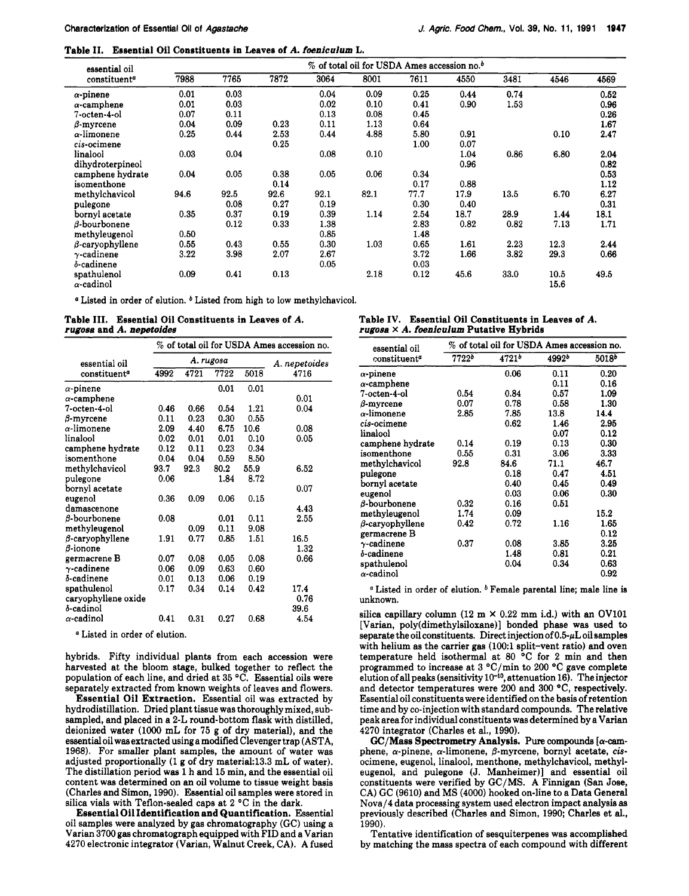Table **11.** Essential Oil Constituents in Leaves of A. *fueniculum* L.

| essential oil                    | % of total oil for USDA Ames accession no. <sup>b</sup> |      |      |      |      |      |      |      |              |      |
|----------------------------------|---------------------------------------------------------|------|------|------|------|------|------|------|--------------|------|
| constituent <sup>a</sup>         | 7988                                                    | 7765 | 7872 | 3064 | 8001 | 7611 | 4550 | 3481 | 4546         | 4569 |
| $\alpha$ -pinene                 | 0.01                                                    | 0.03 |      | 0.04 | 0.09 | 0.25 | 0.44 | 0.74 |              | 0.52 |
| $\alpha$ -camphene               | 0.01                                                    | 0.03 |      | 0.02 | 0.10 | 0.41 | 0.90 | 1.53 |              | 0.96 |
| 7-octen-4-ol                     | 0.07                                                    | 0.11 |      | 0.13 | 0.08 | 0.45 |      |      |              | 0.26 |
| $\beta$ -myrcene                 | 0.04                                                    | 0.09 | 0.23 | 0.11 | 1.13 | 0.64 |      |      |              | 1.67 |
| $\alpha\text{-limonene}$         | 0.25                                                    | 0.44 | 2.53 | 0.44 | 4.88 | 5.80 | 0.91 |      | 0.10         | 2.47 |
| cis-ocimene                      |                                                         |      | 0.25 |      |      | 1.00 | 0.07 |      |              |      |
| linalool                         | 0.03                                                    | 0.04 |      | 0.08 | 0.10 |      | 1.04 | 0.86 | 6.80         | 2.04 |
| dihydroterpineol                 |                                                         |      |      |      |      |      | 0.96 |      |              | 0.82 |
| camphene hydrate                 | 0.04                                                    | 0.05 | 0.38 | 0.05 | 0.06 | 0.34 |      |      |              | 0.53 |
| isomenthone                      |                                                         |      | 0.14 |      |      | 0.17 | 0.88 |      |              | 1.12 |
| methylchavicol                   | 94.6                                                    | 92.5 | 92.6 | 92.1 | 82.1 | 77.7 | 17.9 | 13.5 | 6.70         | 6.27 |
| pulegone                         |                                                         | 0.08 | 0.27 | 0.19 |      | 0.30 | 0.40 |      |              | 0.31 |
| bornvl acetate                   | 0.35                                                    | 0.37 | 0.19 | 0.39 | 1.14 | 2.54 | 18.7 | 28.9 | 1.44         | 18.1 |
| $\beta$ -bourbonene              |                                                         | 0.12 | 0.33 | 1.38 |      | 2.83 | 0.82 | 0.82 | 7.13         | 1.71 |
| methyleugenol                    | 0.50                                                    |      |      | 0.85 |      | 1.48 |      |      |              |      |
| $\beta$ -caryophyllene           | 0.55                                                    | 0.43 | 0.55 | 0.30 | 1.03 | 0.65 | 1.61 | 2.23 | 12.3         | 2.44 |
| $\gamma$ -cadinene               | 3.22                                                    | 3.98 | 2.07 | 2.67 |      | 3.72 | 1.66 | 3.82 | 29.3         | 0.66 |
| δ-cadinene                       |                                                         |      |      | 0.05 |      | 0.03 |      |      |              |      |
| spathulenol<br>$\alpha$ -cadinol | 0.09                                                    | 0.41 | 0.13 |      | 2.18 | 0.12 | 45.6 | 33.0 | 10.5<br>15.6 | 49.5 |

<sup>*a*</sup> Listed in order of elution. <sup>*b*</sup> Listed from high to low methylchavicol.

Table 111. Essential Oil Constituents in Leaves of A. *rugosa* and *A. nepetoides* 

|                          | $\%$ of total oil for USDA Ames accession no. |           |               |      |      |  |  |
|--------------------------|-----------------------------------------------|-----------|---------------|------|------|--|--|
| essential oil            |                                               | A. rugosa | A. nepetoides |      |      |  |  |
| constituent <sup>a</sup> | 4992                                          | 4721      | 7722          | 5018 | 4716 |  |  |
| $\alpha$ -pinene         |                                               |           | 0.01          | 0.01 |      |  |  |
| $\alpha$ -camphene       |                                               |           |               |      | 0.01 |  |  |
| 7-octen-4-ol             | 0.46                                          | 0.66      | 0.54          | 1.21 | 0.04 |  |  |
| $\beta$ -myrcene         | 0.11                                          | 0.23      | 0.30          | 0.55 |      |  |  |
| $\alpha$ -limonene       | 2.09                                          | 4.40      | 6.75          | 10.6 | 0.08 |  |  |
| linalool                 | 0.02                                          | 0.01      | 0.01          | 0.10 | 0.05 |  |  |
| camphene hydrate         | 0.12                                          | 0.11      | 0.23          | 0.34 |      |  |  |
| isomenthone              | 0.04                                          | 0.04      | 0.59          | 8.50 |      |  |  |
| methylchavicol           | 93.7                                          | 92.3      | 80.2          | 55.9 | 6.52 |  |  |
| pulegone                 | 0.06                                          |           | 1.84          | 8.72 |      |  |  |
| bornyl acetate           |                                               |           |               |      | 0.07 |  |  |
| eugenol                  | 0.36                                          | 0.09      | 0.06          | 0.15 |      |  |  |
| damascenone              |                                               |           |               |      | 4.43 |  |  |
| $\beta$ -bourbonene      | 0.08                                          |           | 0.01          | 0.11 | 2.55 |  |  |
| methyleugenol            |                                               | 0.09      | 0.11          | 9.08 |      |  |  |
| $\beta$ -caryophyllene   | 1.91                                          | 0.77      | 0.85          | 1.51 | 16.5 |  |  |
| β-ionone                 |                                               |           |               |      | 1.32 |  |  |
| germacrene B             | 0.07                                          | 0.08      | 0.05          | 0.08 | 0.66 |  |  |
| $\gamma$ -cadinene       | 0.06                                          | 0.09      | 0.63          | 0.60 |      |  |  |
| δ-cadinene               | 0.01                                          | 0.13      | 0.06          | 0.19 |      |  |  |
| spathulenol              | 0.17                                          | 0.34      | 0.14          | 0.42 | 17.4 |  |  |
| caryophyllene oxide      |                                               |           |               |      | 0.76 |  |  |
| δ-cadinol                |                                               |           |               |      | 39.6 |  |  |
| $\alpha$ -cadinol        | 0.41                                          | 0.31      | 0.27          | 0.68 | 4.54 |  |  |

Listed in order of elution.

hybrids. Fifty individual plants from each accession were harvested at the bloom stage, bulked together to reflect the population of each line, and dried at 35 "C. Essential oils were separately extracted from known weights of leaves and flowers.

Essential Oil Extraction. Essential oil was extracted by hydrodistillation. Dried plant tissue was thoroughly mixed, subsampled, and placed in a **2-L** round-bottom flask with distilled, deionized water (lo00 mL for **75** g of dry material), and the essentialoil was extracted using a modified Clevenger trap (ASTA, 1968). For smaller plant samples, the amount of water was adjusted proportionally  $(1 g of dry material: 13.3 mL of water)$ . The distillation period was 1 h and 15 min, and the essential oil content was determined on an oil volume to tissue weight basis (Charles and Simon, 1990). Essential oil samples were stored in silica vials with Teflon-sealed caps at 2 "C in the dark.

Essential Oil Identification and Quantification. Essential oil samples were analyzed by gas chromatography (GC) using a Varian 3700 gas chromatograph equipped with FID and a Varian 4270 electronic integrator (Varian, Walnut Creek, CA). A fused

| Table IV. Essential Oil Constituents in Leaves of A. |  |
|------------------------------------------------------|--|
| rugosa $\times$ A. foeniculum Putative Hybrids       |  |

| essential oil            |            | % of total oil for USDA Ames accession no. |                   |       |
|--------------------------|------------|--------------------------------------------|-------------------|-------|
| constituent <sup>a</sup> | $7722^{b}$ | 4721 <sup>b</sup>                          | 4992 <sup>b</sup> | 5018b |
| $\alpha$ -pinene         |            | 0.06                                       | 0.11              | 0.20  |
| $\alpha$ -camphene       |            |                                            | 0.11              | 0.16  |
| 7-octen-4-ol             | 0.54       | 0.84                                       | 0.57              | 1.09  |
| $\beta$ -myrcene         | 0.07       | 0.78                                       | 0.58              | 1.30  |
| $\alpha$ -limonene       | 2.85       | 7.85                                       | 13.8              | 14.4  |
| cis-ocimene              |            | 0.62                                       | 1.46              | 2.95  |
| linalool                 |            |                                            | 0.07              | 0.12  |
| camphene hydrate         | 0.14       | 0.19                                       | 0.13              | 0.30  |
| isomenthone              | 0.55       | 0.31                                       | 3.06              | 3.33  |
| methylchavicol           | 92.8       | 84.6                                       | 71.1              | 46.7  |
| pulegone                 |            | 0.18                                       | 0.47              | 4.51  |
| bornyl acetate           |            | 0.40                                       | 0.45              | 0.49  |
| eugenol                  |            | 0.03                                       | 0.06              | 0.30  |
| B-bourbonene             | 0.32       | 0.16                                       | 0.51              |       |
| methyleugenol            | 1.74       | 0.09                                       |                   | 15.2  |
| $\beta$ -caryophyllene   | 0.42       | 0.72                                       | 1.16              | 1.65  |
| germacrene B             |            |                                            |                   | 0.12  |
| $\gamma$ -cadinene       | 0.37       | 0.08                                       | 3.85              | 3.25  |
| δ-cadinene               |            | 1.48                                       | 0.81              | 0.21  |
| spathulenol              |            | 0.04                                       | 0.34              | 0.63  |
| $\alpha$ -cadinol        |            |                                            |                   | 0.92  |

 $a$  Listed in order of elution.  $b$  Female parental line; male line is unknown.

silica capillary column  $(12 \text{ m} \times 0.22 \text{ mm} \text{ i.d.})$  with an OV101 [Varian, poly(dimethylsiloxane)] bonded phase was used to separate the oil constituents. Direct injection of **O.5-pL** oil samples with helium as the carrier gas (100:1 split-vent ratio) and oven temperature held isothermal at 80 °C for 2 min and then programmed to increase at 3 "C/min to 200 "C gave complete elution of all peaks (sensitivity 10<sup>-10</sup>, attenuation 16). The injector and detector temperatures were 200 and 300  $^{\circ}$ C, respectively. Essential oil constituents were identified on the basis of retention time and by co-injection with standard compounds. The relative peak area for individual constituents was determined by a Varian 4270 integrator (Charles et al., 1990).

GC/Mass Spectrometry Analysis. **Pure** compounds *[a-cam*phene,  $\alpha$ -pinene,  $\alpha$ -limonene,  $\beta$ -myrcene, bornyl acetate, cisocimene, eugenol, linalool, menthone, methylchavicol, methyleugenol, and pulegone (J. Manheimer)] and essential oil constituents were verified by GC/MS. A Finnigan **(San** Jose, CA) GC (9610) and MS (4000) hooked on-line to a Data General Nova/4 data processing system used electron impact analysis **as**  previously described (Charles and Simon, 1990; Charles et al., 1990).

Tentative identification of sesquiterpenes was accomplished by matching the mass spectra of each compound with different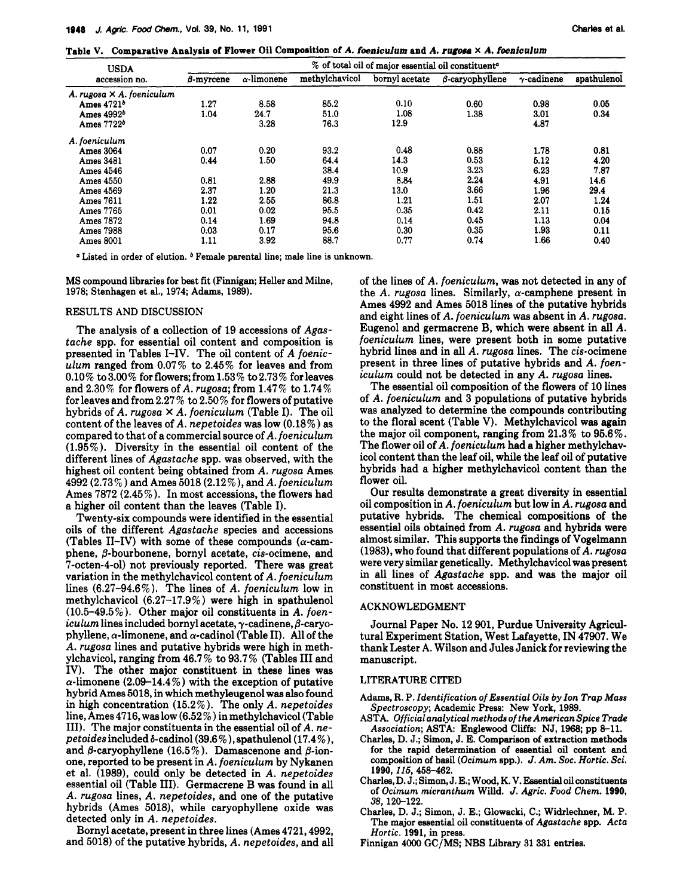Table **V. Comparative Analysis of** Flower Oil **Composition** of **A.** *foeniculum* **and** *A. rugosa* **x** *A. fwniculum* 

| <b>USDA</b>                      | % of total oil of major essential oil constituent <sup>e</sup> |                    |                |                |                        |                    |             |  |
|----------------------------------|----------------------------------------------------------------|--------------------|----------------|----------------|------------------------|--------------------|-------------|--|
| accession no.                    | $\beta$ -myrcene                                               | $\alpha$ -limonene | methylchavicol | bornyl acetate | $\beta$ -caryophyllene | $\gamma$ -cadinene | spathulenol |  |
| A. rugosa $\times$ A. foeniculum |                                                                |                    |                |                |                        |                    |             |  |
| Ames $4721b$                     | 1.27                                                           | 8.58               | 85.2           | 0.10           | 0.60                   | 0.98               | 0.05        |  |
| Ames $4992b$                     | 1.04                                                           | 24.7               | 51.0           | 1.08           | 1.38                   | 3.01               | 0.34        |  |
| Ames 7722 <sup>b</sup>           |                                                                | 3.28               | 76.3           | 12.9           |                        | 4.87               |             |  |
| A. foeniculum                    |                                                                |                    |                |                |                        |                    |             |  |
| Ames 3064                        | 0.07                                                           | 0.20               | 93.2           | 0.48           | 0.88                   | 1.78               | 0.81        |  |
| <b>Ames 3481</b>                 | 0.44                                                           | 1.50               | 64.4           | 14.3           | 0.53                   | 5.12               | 4.20        |  |
| Ames 4546                        |                                                                |                    | 38.4           | 10.9           | 3.23                   | 6.23               | 7.87        |  |
| Ames 4550                        | 0.81                                                           | 2.88               | 49.9           | 8.84           | 2.24                   | 4.91               | 14.6        |  |
| Ames 4569                        | 2.37                                                           | 1.20               | 21.3           | 13.0           | 3.66                   | 1.96               | 29.4        |  |
| Ames 7611                        | 1.22                                                           | 2.55               | 86.8           | 1.21           | 1.51                   | 2.07               | 1.24        |  |
| Ames 7765                        | 0.01                                                           | 0.02               | 95.5           | 0.35           | 0.42                   | 2.11               | 0.15        |  |
| Ames 7872                        | 0.14                                                           | 1.69               | 94.8           | 0.14           | 0.45                   | 1.13               | 0.04        |  |
| Ames 7988                        | 0.03                                                           | 0.17               | 95.6           | 0.30           | 0.35                   | 1.93               | 0.11        |  |
| <b>Ames 8001</b>                 | 1.11                                                           | 3.92               | 88.7           | 0.77           | 0.74                   | 1.66               | 0.40        |  |

<sup>*a*</sup> Listed in order of elution. <sup>*b*</sup> Female parental line; male line is unknown.

**MS** compound libraries for best fit (Finnigan; Heller and Milne, **1978;** Stenhagen et **al., 1974;** Adams, **1989).** 

#### RESULTS AND DISCUSSION

The analysis of a collection of 19 accessions of *Agastache* spp. for essential oil content and composition is presented in Tables I-IV. The oil content of *A foeniculum* ranged from 0.07% to 2.45% for leaves and from  $0.10\%$  to  $3.00\%$  for flowers; from  $1.53\%$  to  $2.73\%$  for leaves and 2.30% for flowers of *A. rugosa;* from 1.47% to 1.74% for leaves and from 2.27 % to 2.50% for flowers of putative hybrids of *A. rugosa* **X** *A. foeniculum* (Table I). The oil content of the leaves of *A. nepetoides* was low (0.18%) as compared to that of a commercial source of *A. foeniculum*  (1.95%). Diversity in the essential oil content of the different lines of *Agastache* spp. was observed, with the highest oil content being obtained from *A. rugosa* Ames 4992 (2.73%) and Ames 5018 (2.12%), and *A. foeniculum*  Ames 7872 (2.45%). In most accessions, the flowers had a higher oil content than the leaves (Table I).

Twenty-six compounds were identified in the essential oils of the different *Agastache* species and accessions (Tables II-IV) with some of these compounds ( $\alpha$ -camphene, 8-bourbonene, bornyl acetate, cis-ocimene, and 7-octen-4-01) not previously reported. There was great variation in the methylchavicol content of *A. foeniculum*  lines (6.27-94.6%). The lines of *A. foeniculum* low in methylchavicol  $(6.27-17.9\%)$  were high in spathulenol  $(10.5-49.5\%)$ . Other major oil constituents in *A. foeniculum* lines included bornyl acetate,  $\gamma$ -cadinene,  $\beta$ -caryophyllene,  $\alpha$ -limonene, and  $\alpha$ -cadinol (Table II). All of the *A. rugosa* lines and putative hybrids were high in methylchavicol, ranging from 46.7 % to 93.7 % (Tables I11 and IV). The other major constituent in these lines was  $\alpha$ -limonene (2.09-14.4%) with the exception of putative hybrid Ames 5018, in which methyleugenol **was also** found in high concentration (15.2%). The only *A. nepetoides*  line, Ames 4716, was low (6.52 % ) in methylchavicol (Table 111). The major constituents in the essential oil of *A. nepetoides* **includedb-cadinol(39.6%),** spathulenol(17.4%), and  $\beta$ -caryophyllene (16.5%). Damascenone and  $\beta$ -ionone, reported to be present in *A. foeniculum* by Nykanen et al. (1989), could only be detected in *A. nepetoides*  essential oil (Table 111). Germacrene B was found in all A. *rugosa* lines, *A. nepetoides,* and one of the putative hybrids (Ames **5018),** while caryophyllene oxide was detected only in A. *nepetoides.* 

Bornyl acetate, present in three lines (Ames 4721,4992, and 5018) of the putative hybrids, *A. nepetoides,* and all of the lines of *A. foeniculum,* **was** not detected in any of the *A. rugosa* lines. Similarly,  $\alpha$ -camphene present in Ames 4992 and Ames 5018 lines of the putative hybrids and eight lines of *A. foeniculum* was absent in *A. rugosa.*  Eugenol and germacrene B, which were absent in all *A. foeniculum* lines, were present both in some putative hybrid lines and in **all** *A. rugosa* lines. The cis-ocimene present in three lines of putative hybrids and *A. foeniculum* could not be detected in any *A. rugosa* lines.

The essential oil composition of the flowers of 10 lines of *A. foeniculum* and 3 populations of putative hybrids was analyzed to determine the compounds contributing to the floral scent (Table V). Methylchavicol was again the major oil component, ranging from 21.3% to **96.6%.**  The flower oil of *A. foeniculum* had a higher methylchavicol content than the leaf oil, while the leaf oil of putative hybrids had a higher methylchavicol content than the flower oil.

Our results demonstrate a great diversity in essential oil composition in *A. foeniculum* but low in *A. rugosa* and putative hybrids. The chemical compositions of the essential oils obtained from *A. rugosa* and hybrids were almost similar. This supports the findings of Vogelmann (1983), who found that different populations of A. rugosa were very similar genetically. Methylchavicol was present in all lines of *Agastache* spp. and was the major oil constituent in most accessions.

### ACKNOWLEDGMENT

Journal Paper No. 12 901, Purdue University Agricultural Experiment Station, West Lafayette, IN 47907. We thank Lester A. Wilson and Jules Janick for reviewing the manuscript.

#### LITERATURE CITED

- Adams, R. P. Identification of Essential Oils by Ion Trap Mass Spectroscopy; Academic **Press:** New **York, 1989.**
- ASTA. Official analytical methodsof the AmericanSpice Trade Association; ASTA: Englewood Cliffs: NJ, 1968; pp 8-11.
- Charles, D. **J.;** Simon, J. E. Comparison of extraction methods for the rapid determination of essential oil content and composition of basil (Ocimum spp.). J. Am. Soc. Hortic. Sci. **1990,115,458-462,**
- Charles, D. J.; Simon, J. E.; Wood, K. V. **Eeeentialoilconstituents**  of Ocimum micranthum Willd. J. Agric. Food Chem. **1990, 38, 120-122.**
- Charles, D. **J.;** Simon, J. E.; Glowacki, C.; Widrlechner, M. P. The major essential oil constituents of Agastache spp. Acta Hortic. **1991,** in press.
- Finnigan **4000 GC/MS;** NBS Library **31 331** entries.